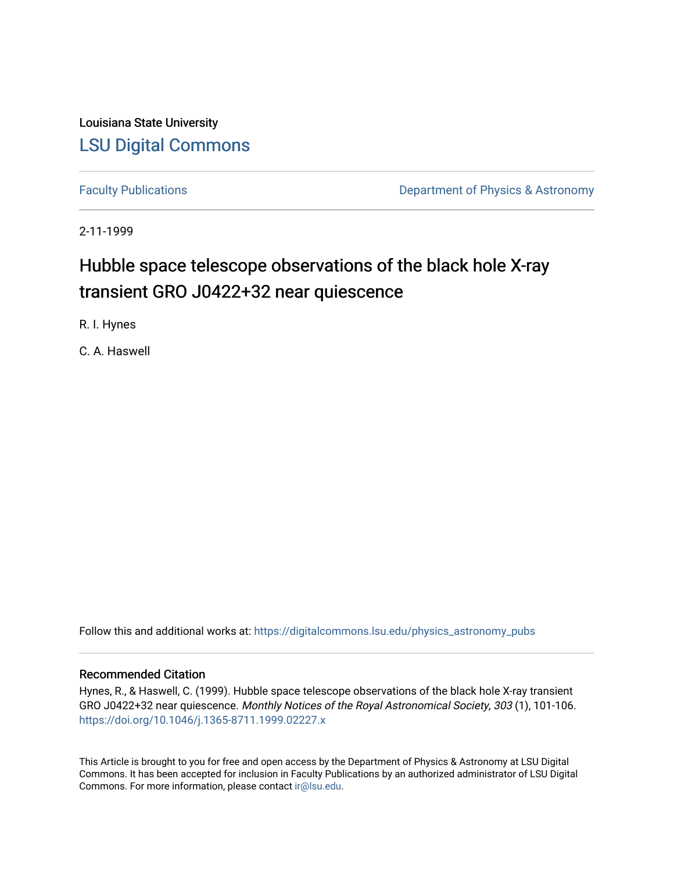Louisiana State University [LSU Digital Commons](https://digitalcommons.lsu.edu/)

[Faculty Publications](https://digitalcommons.lsu.edu/physics_astronomy_pubs) **Exercise 2 and Table 2 and Table 2 and Table 2 and Table 2 and Table 2 and Table 2 and Table 2 and Table 2 and Table 2 and Table 2 and Table 2 and Table 2 and Table 2 and Table 2 and Table 2 and Table** 

2-11-1999

# Hubble space telescope observations of the black hole X-ray transient GRO J0422+32 near quiescence

R. I. Hynes

C. A. Haswell

Follow this and additional works at: [https://digitalcommons.lsu.edu/physics\\_astronomy\\_pubs](https://digitalcommons.lsu.edu/physics_astronomy_pubs?utm_source=digitalcommons.lsu.edu%2Fphysics_astronomy_pubs%2F2669&utm_medium=PDF&utm_campaign=PDFCoverPages) 

## Recommended Citation

Hynes, R., & Haswell, C. (1999). Hubble space telescope observations of the black hole X-ray transient GRO J0422+32 near quiescence. Monthly Notices of the Royal Astronomical Society, 303 (1), 101-106. <https://doi.org/10.1046/j.1365-8711.1999.02227.x>

This Article is brought to you for free and open access by the Department of Physics & Astronomy at LSU Digital Commons. It has been accepted for inclusion in Faculty Publications by an authorized administrator of LSU Digital Commons. For more information, please contact [ir@lsu.edu](mailto:ir@lsu.edu).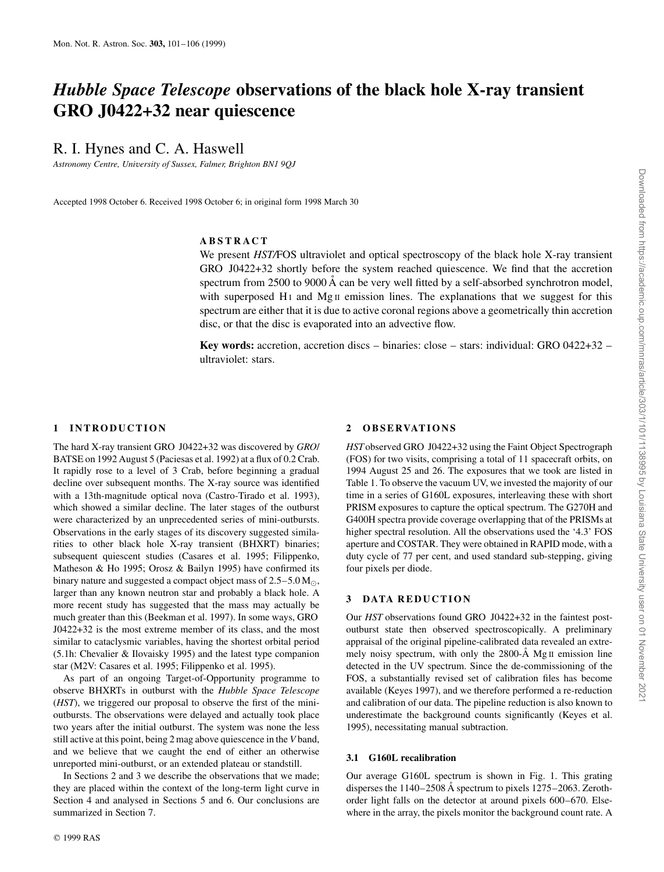## *Hubble Space Telescope* **observations of the black hole X-ray transient GRO J0422+32 near quiescence**

R. I. Hynes and C. A. Haswell

*Astronomy Centre, University of Sussex, Falmer, Brighton BN1 9QJ*

Accepted 1998 October 6. Received 1998 October 6; in original form 1998 March 30

## **ABSTRACT**

We present *HST/FOS* ultraviolet and optical spectroscopy of the black hole X-ray transient GRO J0422+32 shortly before the system reached quiescence. We find that the accretion spectrum from 2500 to 9000 Å can be very well fitted by a self-absorbed synchrotron model, with superposed  $H_1$  and  $Mg_{II}$  emission lines. The explanations that we suggest for this spectrum are either that it is due to active coronal regions above a geometrically thin accretion disc, or that the disc is evaporated into an advective flow.

**Key words:** accretion, accretion discs – binaries: close – stars: individual: GRO 0422+32 – ultraviolet: stars.

## **1 INTRODUCTION**

The hard X-ray transient GRO J0422+32 was discovered by *GRO*/ BATSE on 1992 August 5 (Paciesas et al. 1992) at a flux of 0.2 Crab. It rapidly rose to a level of 3 Crab, before beginning a gradual decline over subsequent months. The X-ray source was identified with a 13th-magnitude optical nova (Castro-Tirado et al. 1993), which showed a similar decline. The later stages of the outburst were characterized by an unprecedented series of mini-outbursts. Observations in the early stages of its discovery suggested similarities to other black hole X-ray transient (BHXRT) binaries; subsequent quiescent studies (Casares et al. 1995; Filippenko, Matheson & Ho 1995; Orosz & Bailyn 1995) have confirmed its binary nature and suggested a compact object mass of  $2.5-5.0$  M<sub> $\odot$ </sub>, larger than any known neutron star and probably a black hole. A more recent study has suggested that the mass may actually be much greater than this (Beekman et al. 1997). In some ways, GRO J0422+32 is the most extreme member of its class, and the most similar to cataclysmic variables, having the shortest orbital period (5.1h: Chevalier & Ilovaisky 1995) and the latest type companion star (M2V: Casares et al. 1995; Filippenko et al. 1995).

As part of an ongoing Target-of-Opportunity programme to observe BHXRTs in outburst with the *Hubble Space Telescope* (*HST*), we triggered our proposal to observe the first of the minioutbursts. The observations were delayed and actually took place two years after the initial outburst. The system was none the less still active at this point, being 2 mag above quiescence in the *V* band, and we believe that we caught the end of either an otherwise unreported mini-outburst, or an extended plateau or standstill.

In Sections 2 and 3 we describe the observations that we made; they are placed within the context of the long-term light curve in Section 4 and analysed in Sections 5 and 6. Our conclusions are summarized in Section 7.

## **2 O B S E RVAT IO NS**

*HST*observed GRO J0422+32 using the Faint Object Spectrograph (FOS) for two visits, comprising a total of 11 spacecraft orbits, on 1994 August 25 and 26. The exposures that we took are listed in Table 1. To observe the vacuum UV, we invested the majority of our time in a series of G160L exposures, interleaving these with short PRISM exposures to capture the optical spectrum. The G270H and G400H spectra provide coverage overlapping that of the PRISMs at higher spectral resolution. All the observations used the '4.3' FOS aperture and COSTAR. They were obtained in RAPID mode, with a duty cycle of 77 per cent, and used standard sub-stepping, giving four pixels per diode.

## **3 DATA REDUCTION**

Our *HST* observations found GRO J0422+32 in the faintest postoutburst state then observed spectroscopically. A preliminary appraisal of the original pipeline-calibrated data revealed an extremely noisy spectrum, with only the 2800-Å Mg II emission line detected in the UV spectrum. Since the de-commissioning of the FOS, a substantially revised set of calibration files has become available (Keyes 1997), and we therefore performed a re-reduction and calibration of our data. The pipeline reduction is also known to underestimate the background counts significantly (Keyes et al. 1995), necessitating manual subtraction.

#### **3.1 G160L recalibration**

Our average G160L spectrum is shown in Fig. 1. This grating disperses the 1140–2508 Å spectrum to pixels 1275–2063. Zerothorder light falls on the detector at around pixels 600–670. Elsewhere in the array, the pixels monitor the background count rate. A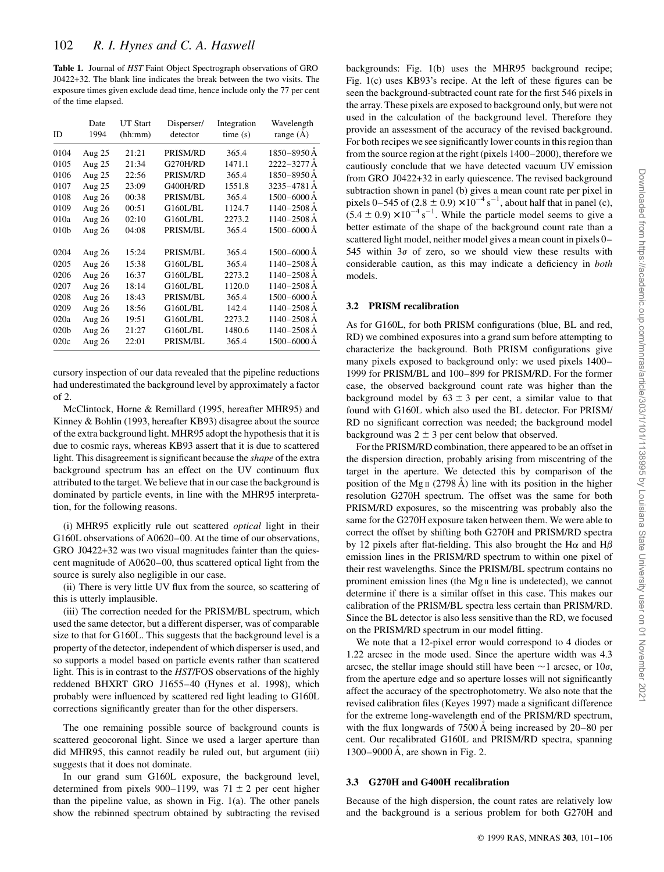**Table 1.** Journal of *HST* Faint Object Spectrograph observations of GRO J0422+32. The blank line indicates the break between the two visits. The exposure times given exclude dead time, hence include only the 77 per cent of the time elapsed.

| ID               | Date<br>1994 | <b>UT Start</b><br>(hh:mm) | Disperser/<br>detector | Integration<br>time(s) | Wavelength<br>range $(A)$ |
|------------------|--------------|----------------------------|------------------------|------------------------|---------------------------|
| 0104             | Aug $25$     | 21:21                      | PRISM/RD               | 365.4                  | 1850-8950 Å               |
| 0105             | Aug 25       | 21:34                      | G270H/RD               | 1471.1                 | 2222-3277 Å               |
| 0106             | Aug 25       | 22:56                      | PRISM/RD               | 365.4                  | 1850–8950 Å               |
| 0107             | Aug 25       | 23:09                      | G400H/RD               | 1551.8                 | 3235-4781 A               |
| 0108             | Aug 26       | 00:38                      | PRISM/BL               | 365.4                  | $1500 - 6000$ Å           |
| 0109             | Aug 26       | 00:51                      | G160L/BL               | 1124.7                 | 1140–2508 Å               |
| 010a             | Aug 26       | 02:10                      | G160L/BL               | 2273.2                 | 1140–2508 Å               |
| 010b             | Aug 26       | 04:08                      | PRISM/BL               | 365.4                  | 1500–6000 Å               |
|                  |              |                            |                        |                        |                           |
| 0204             | Aug 26       | 15:24                      | PRISM/BL               | 365.4                  | 1500-6000 Å               |
| 0205             | Aug 26       | 15:38                      | G160L/BL               | 365.4                  | 1140–2508 Å               |
| 0206             | Aug 26       | 16:37                      | G160L/BL               | 2273.2                 | 1140–2508 Å               |
| 0207             | Aug 26       | 18:14                      | G160L/BL               | 1120.0                 | 1140–2508 Å               |
| 0208             | Aug 26       | 18:43                      | PRISM/BL               | 365.4                  | 1500-6000 A               |
| 0209             | Aug 26       | 18:56                      | G160L/BL               | 142.4                  | 1140–2508 Å               |
| 020a             | Aug 26       | 19:51                      | G160L/BL               | 2273.2                 | 1140–2508 Å               |
| 020 <sub>b</sub> | Aug 26       | 21:27                      | G160L/BL               | 1480.6                 | 1140–2508 Å               |
| 020c             | Aug 26       | 22:01                      | PRISM/BL               | 365.4                  | 1500–6000 Å               |

cursory inspection of our data revealed that the pipeline reductions had underestimated the background level by approximately a factor of 2.

McClintock, Horne & Remillard (1995, hereafter MHR95) and Kinney & Bohlin (1993, hereafter KB93) disagree about the source of the extra background light. MHR95 adopt the hypothesis that it is due to cosmic rays, whereas KB93 assert that it is due to scattered light. This disagreement is significant because the *shape* of the extra background spectrum has an effect on the UV continuum flux attributed to the target. We believe that in our case the background is dominated by particle events, in line with the MHR95 interpretation, for the following reasons.

(i) MHR95 explicitly rule out scattered *optical* light in their G160L observations of A0620–00. At the time of our observations, GRO J0422+32 was two visual magnitudes fainter than the quiescent magnitude of A0620–00, thus scattered optical light from the source is surely also negligible in our case.

(ii) There is very little UV flux from the source, so scattering of this is utterly implausible.

(iii) The correction needed for the PRISM/BL spectrum, which used the same detector, but a different disperser, was of comparable size to that for G160L. This suggests that the background level is a property of the detector, independent of which disperser is used, and so supports a model based on particle events rather than scattered light. This is in contrast to the *HST*/FOS observations of the highly reddened BHXRT GRO J1655–40 (Hynes et al. 1998), which probably were influenced by scattered red light leading to G160L corrections significantly greater than for the other dispersers.

The one remaining possible source of background counts is scattered geocoronal light. Since we used a larger aperture than did MHR95, this cannot readily be ruled out, but argument (iii) suggests that it does not dominate.

In our grand sum G160L exposure, the background level, determined from pixels 900–1199, was 71  $\pm$  2 per cent higher than the pipeline value, as shown in Fig. 1(a). The other panels show the rebinned spectrum obtained by subtracting the revised backgrounds: Fig. 1(b) uses the MHR95 background recipe; Fig. 1(c) uses KB93's recipe. At the left of these figures can be seen the background-subtracted count rate for the first 546 pixels in the array. These pixels are exposed to background only, but were not used in the calculation of the background level. Therefore they provide an assessment of the accuracy of the revised background. For both recipes we see significantly lower counts in this region than from the source region at the right (pixels 1400–2000), therefore we cautiously conclude that we have detected vacuum UV emission from GRO J0422+32 in early quiescence. The revised background subtraction shown in panel (b) gives a mean count rate per pixel in pixels 0–545 of  $(2.8 \pm 0.9) \times 10^{-4}$  s<sup>-1</sup>, about half that in panel (c),  $(5.4 \pm 0.9) \times 10^{-4} \text{ s}^{-1}$ . While the particle model seems to give a better estimate of the shape of the background count rate than a scattered light model, neither model gives a mean count in pixels 0– 545 within  $3\sigma$  of zero, so we should view these results with considerable caution, as this may indicate a deficiency in *both* models.

## **3.2 PRISM recalibration**

As for G160L, for both PRISM configurations (blue, BL and red, RD) we combined exposures into a grand sum before attempting to characterize the background. Both PRISM configurations give many pixels exposed to background only: we used pixels 1400– 1999 for PRISM/BL and 100–899 for PRISM/RD. For the former case, the observed background count rate was higher than the background model by  $63 \pm 3$  per cent, a similar value to that found with G160L which also used the BL detector. For PRISM/ RD no significant correction was needed; the background model background was  $2 \pm 3$  per cent below that observed.

For the PRISM/RD combination, there appeared to be an offset in the dispersion direction, probably arising from miscentring of the target in the aperture. We detected this by comparison of the position of the Mg<sub>II</sub> (2798 Å) line with its position in the higher resolution G270H spectrum. The offset was the same for both PRISM/RD exposures, so the miscentring was probably also the same for the G270H exposure taken between them. We were able to correct the offset by shifting both G270H and PRISM/RD spectra by 12 pixels after flat-fielding. This also brought the H $\alpha$  and H $\beta$ emission lines in the PRISM/RD spectrum to within one pixel of their rest wavelengths. Since the PRISM/BL spectrum contains no prominent emission lines (the  $Mg \, \text{II}$  line is undetected), we cannot determine if there is a similar offset in this case. This makes our calibration of the PRISM/BL spectra less certain than PRISM/RD. Since the BL detector is also less sensitive than the RD, we focused on the PRISM/RD spectrum in our model fitting.

We note that a 12-pixel error would correspond to 4 diodes or 1.22 arcsec in the mode used. Since the aperture width was 4.3 arcsec, the stellar image should still have been  $\sim$ 1 arcsec, or 10 $\sigma$ , from the aperture edge and so aperture losses will not significantly affect the accuracy of the spectrophotometry. We also note that the revised calibration files (Keyes 1997) made a significant difference for the extreme long-wavelength end of the PRISM/RD spectrum, with the flux longwards of  $7500 \text{ Å}$  being increased by 20–80 per cent. Our recalibrated G160L and PRISM/RD spectra, spanning  $1300-9000$  Å, are shown in Fig. 2.

#### **3.3 G270H and G400H recalibration**

Because of the high dispersion, the count rates are relatively low and the background is a serious problem for both G270H and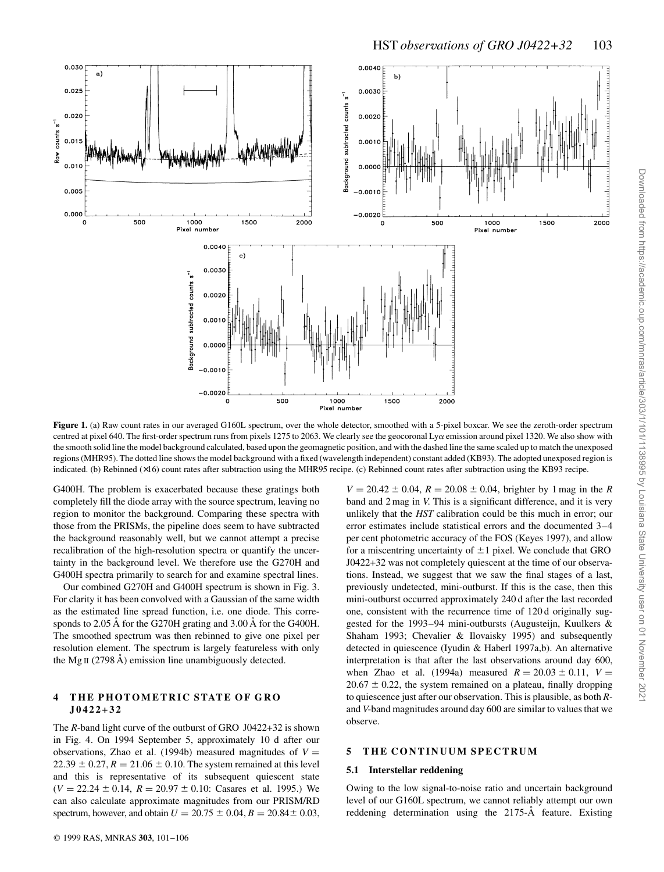

**Figure 1.** (a) Raw count rates in our averaged G160L spectrum, over the whole detector, smoothed with a 5-pixel boxcar. We see the zeroth-order spectrum centred at pixel 640. The first-order spectrum runs from pixels 1275 to 2063. We clearly see the geocoronal Lya emission around pixel 1320. We also show with the smooth solid line the model background calculated, based upon the geomagnetic position, and with the dashed line the same scaled up to match the unexposed regions (MHR95). The dotted line shows the model background with a fixed (wavelength independent) constant added (KB93). The adopted unexposed region is indicated. (b) Rebinned (×16) count rates after subtraction using the MHR95 recipe. (c) Rebinned count rates after subtraction using the KB93 recipe.

G400H. The problem is exacerbated because these gratings both completely fill the diode array with the source spectrum, leaving no region to monitor the background. Comparing these spectra with those from the PRISMs, the pipeline does seem to have subtracted the background reasonably well, but we cannot attempt a precise recalibration of the high-resolution spectra or quantify the uncertainty in the background level. We therefore use the G270H and G400H spectra primarily to search for and examine spectral lines.

Our combined G270H and G400H spectrum is shown in Fig. 3. For clarity it has been convolved with a Gaussian of the same width as the estimated line spread function, i.e. one diode. This corresponds to 2.05 A for the G270H grating and 3.00 A for the G400H. The smoothed spectrum was then rebinned to give one pixel per resolution element. The spectrum is largely featureless with only the Mg<sub>II</sub> (2798  $\AA$ ) emission line unambiguously detected.

## **4 THE PHOTOMETRIC STATE OF GRO J0422+32**

The *R*-band light curve of the outburst of GRO J0422+32 is shown in Fig. 4. On 1994 September 5, approximately 10 d after our observations, Zhao et al. (1994b) measured magnitudes of  $V =$  $22.39 \pm 0.27$ ,  $R = 21.06 \pm 0.10$ . The system remained at this level and this is representative of its subsequent quiescent state  $(V = 22.24 \pm 0.14, R = 20.97 \pm 0.10$ : Casares et al. 1995.) We can also calculate approximate magnitudes from our PRISM/RD spectrum, however, and obtain  $U = 20.75 \pm 0.04$ ,  $B = 20.84 \pm 0.03$ ,

 $V = 20.42 \pm 0.04$ ,  $R = 20.08 \pm 0.04$ , brighter by 1 mag in the *R* band and 2 mag in *V*. This is a significant difference, and it is very unlikely that the *HST* calibration could be this much in error; our error estimates include statistical errors and the documented 3–4 per cent photometric accuracy of the FOS (Keyes 1997), and allow for a miscentring uncertainty of  $\pm 1$  pixel. We conclude that GRO J0422+32 was not completely quiescent at the time of our observations. Instead, we suggest that we saw the final stages of a last, previously undetected, mini-outburst. If this is the case, then this mini-outburst occurred approximately 240 d after the last recorded one, consistent with the recurrence time of 120 d originally suggested for the 1993–94 mini-outbursts (Augusteijn, Kuulkers & Shaham 1993; Chevalier & Ilovaisky 1995) and subsequently detected in quiescence (Iyudin & Haberl 1997a,b). An alternative interpretation is that after the last observations around day 600, when Zhao et al. (1994a) measured  $R = 20.03 \pm 0.11$ ,  $V =$  $20.67 \pm 0.22$ , the system remained on a plateau, finally dropping to quiescence just after our observation. This is plausible, as both *R*and *V*-band magnitudes around day 600 are similar to values that we observe.

#### **5 THE CONTINUUM SPECTRUM**

#### **5.1 Interstellar reddening**

Owing to the low signal-to-noise ratio and uncertain background level of our G160L spectrum, we cannot reliably attempt our own reddening determination using the 2175-A feature. Existing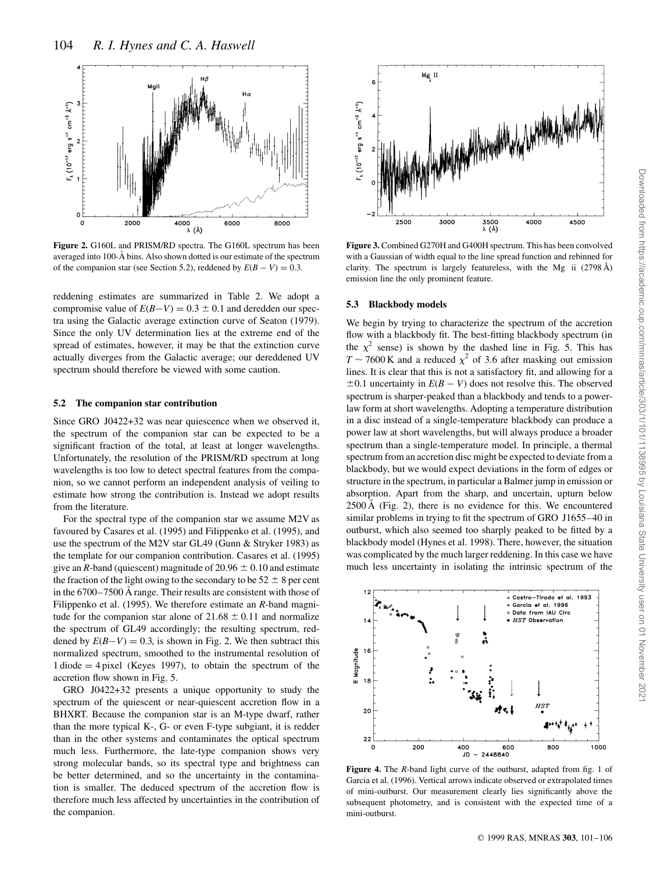

**Figure 2.** G160L and PRISM/RD spectra. The G160L spectrum has been averaged into 100-A bins. Also shown dotted is our estimate of the spectrum of the companion star (see Section 5.2), reddened by  $E(B - V) = 0.3$ .

reddening estimates are summarized in Table 2. We adopt a compromise value of  $E(B-V) = 0.3 \pm 0.1$  and deredden our spectra using the Galactic average extinction curve of Seaton (1979). Since the only UV determination lies at the extreme end of the spread of estimates, however, it may be that the extinction curve actually diverges from the Galactic average; our dereddened UV spectrum should therefore be viewed with some caution.

## **5.2 The companion star contribution**

Since GRO J0422+32 was near quiescence when we observed it, the spectrum of the companion star can be expected to be a significant fraction of the total, at least at longer wavelengths. Unfortunately, the resolution of the PRISM/RD spectrum at long wavelengths is too low to detect spectral features from the companion, so we cannot perform an independent analysis of veiling to estimate how strong the contribution is. Instead we adopt results from the literature.

For the spectral type of the companion star we assume M2V as favoured by Casares et al. (1995) and Filippenko et al. (1995), and use the spectrum of the M2V star GL49 (Gunn & Stryker 1983) as the template for our companion contribution. Casares et al. (1995) give an *R*-band (quiescent) magnitude of 20.96  $\pm$  0.10 and estimate the fraction of the light owing to the secondary to be  $52 \pm 8$  per cent in the  $6700-7500$  Å range. Their results are consistent with those of Filippenko et al. (1995). We therefore estimate an *R*-band magnitude for the companion star alone of  $21.68 \pm 0.11$  and normalize the spectrum of GL49 accordingly; the resulting spectrum, reddened by  $E(B-V) = 0.3$ , is shown in Fig. 2. We then subtract this normalized spectrum, smoothed to the instrumental resolution of  $1$  diode  $=$  4 pixel (Keyes 1997), to obtain the spectrum of the accretion flow shown in Fig. 5.

GRO J0422+32 presents a unique opportunity to study the spectrum of the quiescent or near-quiescent accretion flow in a BHXRT. Because the companion star is an M-type dwarf, rather than the more typical K-, G- or even F-type subgiant, it is redder than in the other systems and contaminates the optical spectrum much less. Furthermore, the late-type companion shows very strong molecular bands, so its spectral type and brightness can be better determined, and so the uncertainty in the contamination is smaller. The deduced spectrum of the accretion flow is therefore much less affected by uncertainties in the contribution of the companion.



**Figure 3.** Combined G270H and G400H spectrum. This has been convolved with a Gaussian of width equal to the line spread function and rebinned for clarity. The spectrum is largely featureless, with the Mg ii  $(2798 \text{ Å})$ emission line the only prominent feature.

#### **5.3 Blackbody models**

We begin by trying to characterize the spectrum of the accretion flow with a blackbody fit. The best-fitting blackbody spectrum (in the  $\chi^2$  sense) is shown by the dashed line in Fig. 5. This has  $T \sim 7600 \text{ K}$  and a reduced  $\chi^2$  of 3.6 after masking out emission lines. It is clear that this is not a satisfactory fit, and allowing for a  $\pm 0.1$  uncertainty in  $E(B - V)$  does not resolve this. The observed spectrum is sharper-peaked than a blackbody and tends to a powerlaw form at short wavelengths. Adopting a temperature distribution in a disc instead of a single-temperature blackbody can produce a power law at short wavelengths, but will always produce a broader spectrum than a single-temperature model. In principle, a thermal spectrum from an accretion disc might be expected to deviate from a blackbody, but we would expect deviations in the form of edges or structure in the spectrum, in particular a Balmer jump in emission or absorption. Apart from the sharp, and uncertain, upturn below  $2500 \text{\AA}$  (Fig. 2), there is no evidence for this. We encountered similar problems in trying to fit the spectrum of GRO J1655–40 in outburst, which also seemed too sharply peaked to be fitted by a blackbody model (Hynes et al. 1998). There, however, the situation was complicated by the much larger reddening. In this case we have much less uncertainty in isolating the intrinsic spectrum of the



**Figure 4.** The *R*-band light curve of the outburst, adapted from fig. 1 of Garcia et al. (1996). Vertical arrows indicate observed or extrapolated times of mini-outburst. Our measurement clearly lies significantly above the subsequent photometry, and is consistent with the expected time of a mini-outburst.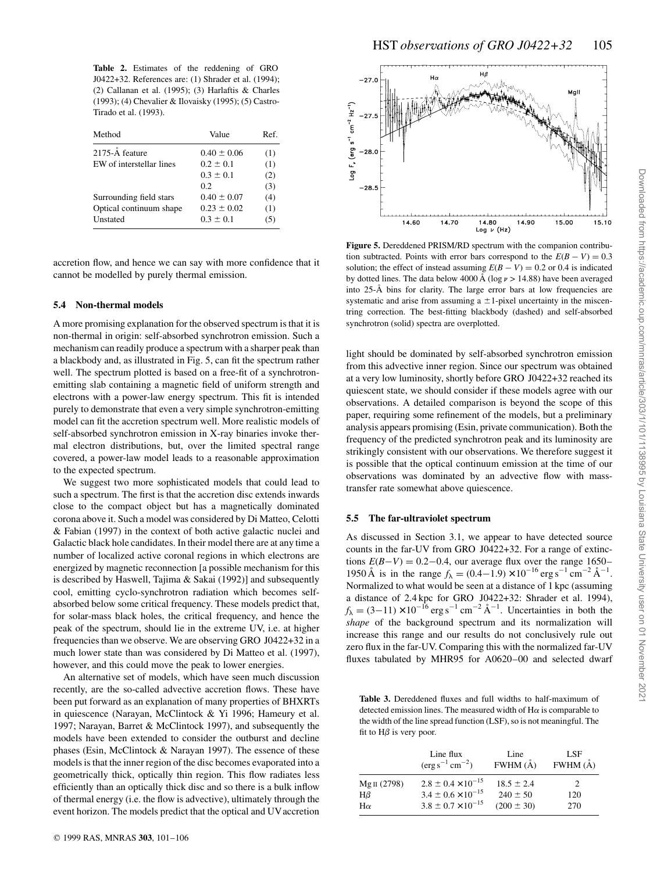**Table 2.** Estimates of the reddening of GRO J0422+32. References are: (1) Shrader et al. (1994); (2) Callanan et al. (1995); (3) Harlaftis & Charles (1993); (4) Chevalier & Ilovaisky (1995); (5) Castro-Tirado et al. (1993).

| Method                   | Value           | Ref. |
|--------------------------|-----------------|------|
| 2175-Å feature           | $0.40 \pm 0.06$ | (1)  |
| EW of interstellar lines | $0.2 \pm 0.1$   | (1)  |
|                          | $0.3 \pm 0.1$   | (2)  |
|                          | 0.2             | (3)  |
| Surrounding field stars  | $0.40 \pm 0.07$ | (4)  |
| Optical continuum shape  | $0.23 \pm 0.02$ | (1)  |
| Unstated                 | $0.3 \pm 0.1$   | (5)  |

accretion flow, and hence we can say with more confidence that it cannot be modelled by purely thermal emission.

## **5.4 Non-thermal models**

A more promising explanation for the observed spectrum is that it is non-thermal in origin: self-absorbed synchrotron emission. Such a mechanism can readily produce a spectrum with a sharper peak than a blackbody and, as illustrated in Fig. 5, can fit the spectrum rather well. The spectrum plotted is based on a free-fit of a synchrotronemitting slab containing a magnetic field of uniform strength and electrons with a power-law energy spectrum. This fit is intended purely to demonstrate that even a very simple synchrotron-emitting model can fit the accretion spectrum well. More realistic models of self-absorbed synchrotron emission in X-ray binaries invoke thermal electron distributions, but, over the limited spectral range covered, a power-law model leads to a reasonable approximation to the expected spectrum.

We suggest two more sophisticated models that could lead to such a spectrum. The first is that the accretion disc extends inwards close to the compact object but has a magnetically dominated corona above it. Such a model was considered by Di Matteo, Celotti & Fabian (1997) in the context of both active galactic nuclei and Galactic black hole candidates. In their model there are at any time a number of localized active coronal regions in which electrons are energized by magnetic reconnection [a possible mechanism for this is described by Haswell, Tajima & Sakai (1992)] and subsequently cool, emitting cyclo-synchrotron radiation which becomes selfabsorbed below some critical frequency. These models predict that, for solar-mass black holes, the critical frequency, and hence the peak of the spectrum, should lie in the extreme UV, i.e. at higher frequencies than we observe. We are observing GRO J0422+32 in a much lower state than was considered by Di Matteo et al. (1997), however, and this could move the peak to lower energies.

An alternative set of models, which have seen much discussion recently, are the so-called advective accretion flows. These have been put forward as an explanation of many properties of BHXRTs in quiescence (Narayan, McClintock & Yi 1996; Hameury et al. 1997; Narayan, Barret & McClintock 1997), and subsequently the models have been extended to consider the outburst and decline phases (Esin, McClintock & Narayan 1997). The essence of these models is that the inner region of the disc becomes evaporated into a geometrically thick, optically thin region. This flow radiates less efficiently than an optically thick disc and so there is a bulk inflow of thermal energy (i.e. the flow is advective), ultimately through the event horizon. The models predict that the optical and UVaccretion





**Figure 5.** Dereddened PRISM/RD spectrum with the companion contribution subtracted. Points with error bars correspond to the  $E(B - V) = 0.3$ solution; the effect of instead assuming  $E(B - V) = 0.2$  or 0.4 is indicated by dotted lines. The data below 4000 Å (log  $\nu > 14.88$ ) have been averaged into 25-Å bins for clarity. The large error bars at low frequencies are systematic and arise from assuming a  $\pm$ 1-pixel uncertainty in the miscentring correction. The best-fitting blackbody (dashed) and self-absorbed synchrotron (solid) spectra are overplotted.

light should be dominated by self-absorbed synchrotron emission from this advective inner region. Since our spectrum was obtained at a very low luminosity, shortly before GRO J0422+32 reached its quiescent state, we should consider if these models agree with our observations. A detailed comparison is beyond the scope of this paper, requiring some refinement of the models, but a preliminary analysis appears promising (Esin, private communication). Both the frequency of the predicted synchrotron peak and its luminosity are strikingly consistent with our observations. We therefore suggest it is possible that the optical continuum emission at the time of our observations was dominated by an advective flow with masstransfer rate somewhat above quiescence.

#### **5.5 The far-ultraviolet spectrum**

As discussed in Section 3.1, we appear to have detected source counts in the far-UV from GRO J0422+32. For a range of extinctions  $E(B-V) = 0.2 - 0.4$ , our average flux over the range 1650– 1950 Å is in the range  $f_{\lambda} = (0.4 - 1.9) \times 10^{-16}$  erg s<sup>-1</sup> cm<sup>-2</sup> Å<sup>-1</sup>. Normalized to what would be seen at a distance of 1 kpc (assuming a distance of 2.4 kpc for GRO J0422+32: Shrader et al. 1994),  $f_{\lambda} = (3-11) \times 10^{-16}$  erg s<sup>-1</sup> cm<sup>-2</sup> Å<sup>-1</sup>. Uncertainties in both the *shape* of the background spectrum and its normalization will increase this range and our results do not conclusively rule out zero flux in the far-UV. Comparing this with the normalized far-UV fluxes tabulated by MHR95 for A0620–00 and selected dwarf

**Table 3.** Dereddened fluxes and full widths to half-maximum of detected emission lines. The measured width of  $H\alpha$  is comparable to the width of the line spread function (LSF), so is not meaningful. The fit to  $H\beta$  is very poor.

|                         | Line flux<br>$(\text{erg s}^{-1} \text{ cm}^{-2})$ | Line<br>$FWHM(\AA)$ | LSF<br>FWHM $(A)$ |
|-------------------------|----------------------------------------------------|---------------------|-------------------|
| Mg <sub>II</sub> (2798) | $2.8 \pm 0.4 \times 10^{-15}$                      | $18.5 \pm 2.4$      | $\mathcal{P}$     |
| $H\beta$                | $3.4 \pm 0.6 \times 10^{-15}$                      | $240 \pm 50$        | 120               |
| $H\alpha$               | $3.8 \pm 0.7 \times 10^{-15}$                      | $(200 \pm 30)$      | 270               |